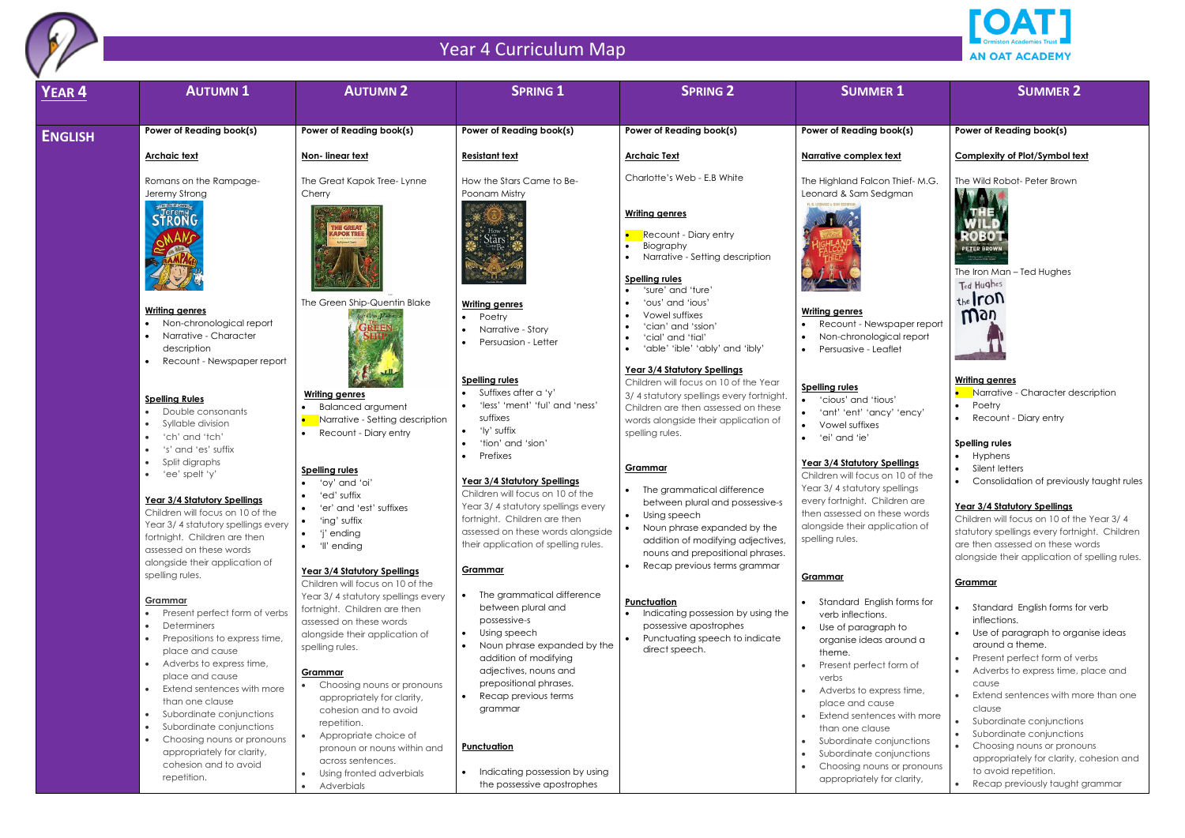

| <b>YEAR 4</b>  | <b>AUTUMN1</b>                                                        | <b>AUTUMN 2</b>                                                  | <b>SPRING 1</b>                                                         | <b>SPRING 2</b>                                                       | <b>SUMMER 1</b>                                        | <b>SUMMER 2</b>                                                                                     |
|----------------|-----------------------------------------------------------------------|------------------------------------------------------------------|-------------------------------------------------------------------------|-----------------------------------------------------------------------|--------------------------------------------------------|-----------------------------------------------------------------------------------------------------|
|                | Power of Reading book(s)                                              | Power of Reading book(s)                                         | Power of Reading book(s)                                                | Power of Reading book(s)                                              | Power of Reading book(s)                               | Power of Reading book(s)                                                                            |
| <b>ENGLISH</b> |                                                                       |                                                                  |                                                                         |                                                                       |                                                        |                                                                                                     |
|                | <b>Archaic text</b>                                                   | Non-linear text                                                  | <b>Resistant text</b>                                                   | <b>Archaic Text</b>                                                   | Narrative complex text                                 | <b>Complexity of Plot/Symbol te</b>                                                                 |
|                | Romans on the Rampage-                                                | The Great Kapok Tree-Lynne                                       | How the Stars Came to Be-                                               | Charlotte's Web - E.B White                                           | The Highland Falcon Thief-M.G.                         | The Wild Robot- Peter Brown                                                                         |
|                | Jeremy Strong                                                         | Cherry                                                           | Poonam Mistry                                                           |                                                                       | Leonard & Sam Sedgman                                  |                                                                                                     |
|                | STRONG                                                                |                                                                  |                                                                         | <b>Writing genres</b>                                                 |                                                        | THE                                                                                                 |
|                |                                                                       | <b>THE GREAT</b><br><b>APOK TREE</b>                             |                                                                         | Recount - Diary entry                                                 |                                                        | ROBOT                                                                                               |
|                |                                                                       |                                                                  |                                                                         | Biography                                                             |                                                        | PETER BROWN                                                                                         |
|                |                                                                       |                                                                  |                                                                         | Narrative - Setting description                                       |                                                        | .<br>A buildly entryined and terrading.<br>Lotte entryined FIEES EGRAP<br>The Iron Man - Ted Hughes |
|                |                                                                       |                                                                  |                                                                         | <b>Spelling rules</b>                                                 |                                                        | Ted Hughes                                                                                          |
|                |                                                                       | The Green Ship-Quentin Blake                                     | <b>Writing genres</b>                                                   | 'sure' and 'ture'<br>'ous' and 'ious'                                 |                                                        | $the$ ron                                                                                           |
|                | <b>Writing genres</b>                                                 | <i>Authorn Blake</i>                                             | Poetry                                                                  | Vowel suffixes                                                        | <b>Writing genres</b>                                  | Way                                                                                                 |
|                | • Non-chronological report<br>Narrative - Character                   |                                                                  | Narrative - Story                                                       | 'cian' and 'ssion'<br>'cial' and 'tial'                               | Recount - Newspaper report<br>Non-chronological report |                                                                                                     |
|                | description                                                           |                                                                  | Persuasion - Letter                                                     | 'able' 'ible' 'ably' and 'ibly'                                       | Persuasive - Leaflet                                   |                                                                                                     |
|                | Recount - Newspaper report                                            |                                                                  |                                                                         | <b>Year 3/4 Statutory Spellings</b>                                   |                                                        |                                                                                                     |
|                |                                                                       |                                                                  | <b>Spelling rules</b>                                                   | Children will focus on 10 of the Year                                 | <b>Spelling rules</b>                                  | <b>Writing genres</b>                                                                               |
|                | <b>Spelling Rules</b>                                                 | <b>Writing genres</b>                                            | Suffixes after a 'y'                                                    | 3/4 statutory spellings every fortnight.                              | • 'cious' and 'tious'                                  | Narrative - Character de                                                                            |
|                | Double consonants                                                     | <b>Balanced argument</b>                                         | 'less' 'ment' 'ful' and 'ness'<br>suffixes                              | Children are then assessed on these                                   | • 'ant' 'ent' 'ancy' 'ency'                            | Poetry<br>Recount - Diary entry                                                                     |
|                | Syllable division                                                     | Narrative - Setting description<br>Recount - Diary entry         | 'ly' suffix                                                             | words alongside their application of                                  | Vowel suffixes                                         |                                                                                                     |
|                | 'ch' and 'tch'                                                        |                                                                  | 'tion' and 'sion'                                                       | spelling rules.                                                       | 'ei' and 'ie'                                          | <b>Spelling rules</b>                                                                               |
|                | 's' and 'es' suffix<br>Split digraphs                                 |                                                                  | Prefixes                                                                |                                                                       | <b>Year 3/4 Statutory Spellings</b>                    | Hyphens                                                                                             |
|                | • 'ee' spelt 'y'                                                      | <b>Spelling rules</b>                                            |                                                                         | Grammar                                                               | Children will focus on 10 of the                       | Silent letters                                                                                      |
|                |                                                                       | 'oy' and 'oi'                                                    | <b>Year 3/4 Statutory Spellings</b><br>Children will focus on 10 of the | The grammatical difference                                            | Year 3/4 statutory spellings                           | Consolidation of previou                                                                            |
|                | <b>Year 3/4 Statutory Spellings</b>                                   | 'ed' suffix<br>'er' and 'est' suffixes                           | Year 3/4 statutory spellings every                                      | between plural and possessive-s                                       | every fortnight. Children are                          | <b>Year 3/4 Statutory Spellings</b>                                                                 |
|                | Children will focus on 10 of the                                      | 'ing' suffix                                                     | fortnight. Children are then                                            | • Using speech                                                        | then assessed on these words                           | Children will focus on 10 of th                                                                     |
|                | Year 3/4 statutory spellings every<br>fortnight. Children are then    | 'j' ending                                                       | assessed on these words alongside                                       | Noun phrase expanded by the                                           | alongside their application of<br>spelling rules.      | statutory spellings every fortn                                                                     |
|                | assessed on these words                                               | 'II' ending                                                      | their application of spelling rules.                                    | addition of modifying adjectives,<br>nouns and prepositional phrases. |                                                        | are then assessed on these w                                                                        |
|                | alongside their application of                                        |                                                                  |                                                                         | Recap previous terms grammar<br>$\bullet$                             |                                                        | alongside their application o                                                                       |
|                | spelling rules.                                                       | Year 3/4 Statutory Spellings<br>Children will focus on 10 of the | <u>Grammar</u>                                                          |                                                                       | <u>Grammar</u>                                         | <u>Grammar</u>                                                                                      |
|                | Grammar                                                               | Year 3/4 statutory spellings every                               | The grammatical difference                                              |                                                                       |                                                        |                                                                                                     |
|                | Present perfect form of verbs                                         | fortnight. Children are then                                     | between plural and                                                      | Punctuation<br>Indicating possession by using the                     | Standard English forms for<br>verb inflections.        | Standard English forms fo                                                                           |
|                | Determiners                                                           | assessed on these words                                          | possessive-s                                                            | possessive apostrophes                                                | Use of paragraph to<br>$\bullet$                       | inflections.                                                                                        |
|                | Prepositions to express time,                                         | alongside their application of                                   | Using speech<br>Noun phrase expanded by the                             | Punctuating speech to indicate                                        | organise ideas around a                                | Use of paragraph to orgo<br>around a theme.                                                         |
|                | place and cause                                                       | spelling rules.                                                  | addition of modifying                                                   | direct speech.                                                        | theme.                                                 | Present perfect form of v                                                                           |
|                | Adverbs to express time,<br>$\bullet$<br>place and cause              | Grammar                                                          | adjectives, nouns and                                                   |                                                                       | Present perfect form of                                | Adverbs to express time,                                                                            |
|                | Extend sentences with more                                            | Choosing nouns or pronouns                                       | prepositional phrases.                                                  |                                                                       | verbs<br>Adverbs to express time,                      | cause                                                                                               |
|                | than one clause                                                       | appropriately for clarity,                                       | Recap previous terms                                                    |                                                                       | place and cause                                        | Extend sentences with m                                                                             |
|                | Subordinate conjunctions<br>$\bullet$                                 | cohesion and to avoid                                            | grammar                                                                 |                                                                       | Extend sentences with more                             | clause<br>Subordinate conjunction<br>$\bullet$                                                      |
|                | Subordinate conjunctions<br>$\bullet$                                 | repetition.<br>Appropriate choice of                             |                                                                         |                                                                       | than one clause                                        | Subordinate conjunction                                                                             |
|                | Choosing nouns or pronouns<br>$\bullet$<br>appropriately for clarity, | pronoun or nouns within and                                      | <b>Punctuation</b>                                                      |                                                                       | Subordinate conjunctions                               | Choosing nouns or prond                                                                             |
|                | cohesion and to avoid                                                 | across sentences.                                                |                                                                         |                                                                       | Subordinate conjunctions<br>Choosing nouns or pronouns | appropriately for clarity,                                                                          |
|                | repetition.                                                           | Using fronted adverbials                                         | Indicating possession by using                                          |                                                                       | appropriately for clarity,                             | to avoid repetition.                                                                                |
|                |                                                                       | Adverbials                                                       | the possessive apostrophes                                              |                                                                       |                                                        | Recap previously taught                                                                             |



| 1                                      | <b>SUMMER 2</b>                                                                                                                                                                                                         |
|----------------------------------------|-------------------------------------------------------------------------------------------------------------------------------------------------------------------------------------------------------------------------|
|                                        |                                                                                                                                                                                                                         |
| ok(s)                                  | Power of Reading book(s)                                                                                                                                                                                                |
| <u>xt</u>                              | <b>Complexity of Plot/Symbol text</b>                                                                                                                                                                                   |
| Thief-M.G.<br>man                      | The Wild Robot- Peter Brown<br>PETER BROWN<br>The Iron Man - Ted Hughes<br>Ted Hughes                                                                                                                                   |
| aper report<br>al report<br>et         | the <b>ron</b><br>man                                                                                                                                                                                                   |
| 'ency'                                 | <b>Writing genres</b><br>Narrative - Character description<br>Poetry<br>Recount - Diary entry                                                                                                                           |
| <u>ellings</u><br>10 of the<br>ellings | <b>Spelling rules</b><br>Hyphens<br>Silent letters<br>Consolidation of previously taught rules                                                                                                                          |
| ren are<br>se words<br>ation of:       | <b>Year 3/4 Statutory Spellings</b><br>Children will focus on 10 of the Year 3/4<br>statutory spellings every fortnight. Children<br>are then assessed on these words<br>alongside their application of spelling rules. |
|                                        | <b>Grammar</b>                                                                                                                                                                                                          |
| forms for                              | Standard English forms for verb                                                                                                                                                                                         |
| ı to<br>ound a                         | inflections.<br>Use of paragraph to organise ideas<br>around a theme.                                                                                                                                                   |
| orm of                                 | Present perfect form of verbs<br>Adverbs to express time, place and                                                                                                                                                     |
| ss time,                               | cause<br>Extend sentences with more than one                                                                                                                                                                            |
| s with more                            | clause<br>Subordinate conjunctions                                                                                                                                                                                      |
| unctions<br>unctions                   | Subordinate conjunctions<br>Choosing nouns or pronouns<br>appropriately for clarity, cohesion and                                                                                                                       |
| or pronouns<br>clarity,                | to avoid repetition.<br>Recap previously taught grammar                                                                                                                                                                 |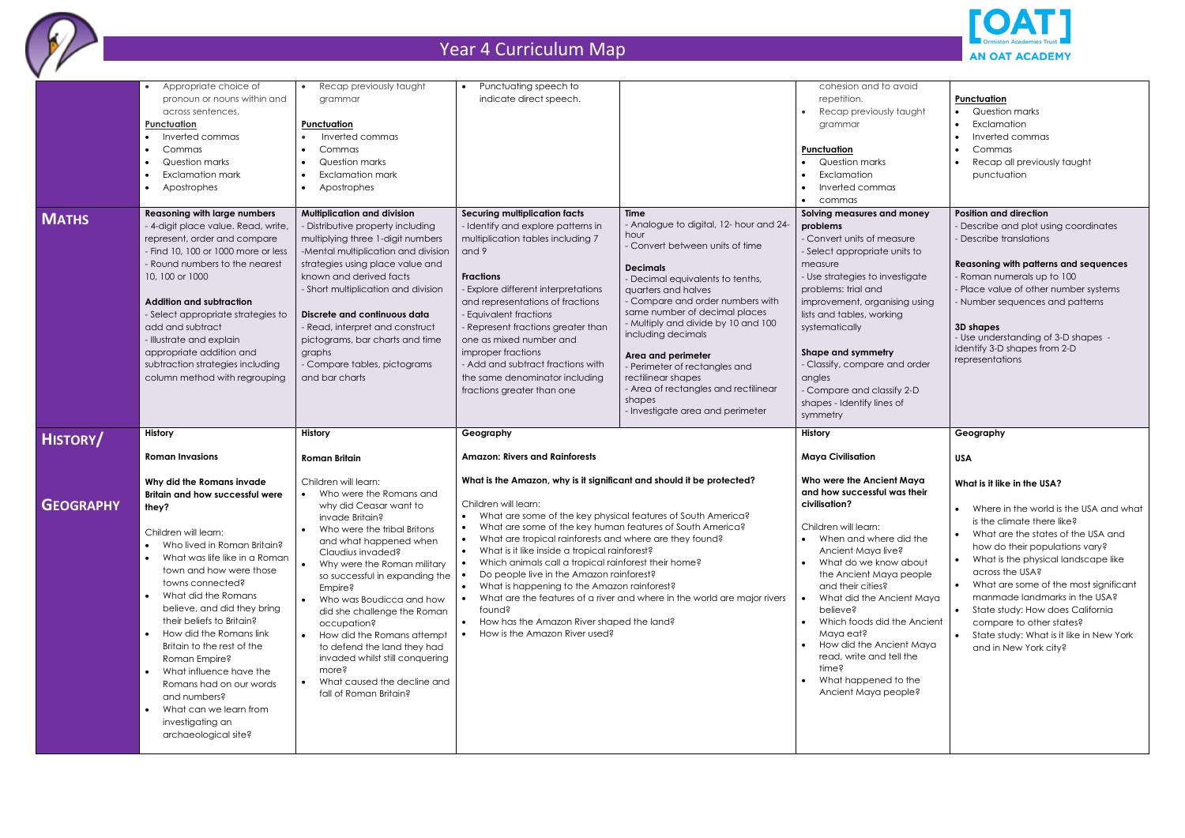

|                  | Appropriate choice of<br>pronoun or nouns within and<br>across sentences.<br><b>Punctuation</b><br>Inverted commas<br>$\bullet$<br>Commas<br>$\bullet$<br>Question marks<br>$\bullet$<br>Exclamation mark<br>$\bullet$<br>Apostrophes<br>$\bullet$                                                                                                                                                                                                                                                                                                                                                         | Recap previously taught<br>grammar<br>Punctuation<br>Inverted commas<br>Commas<br>Question marks<br>Exclamation mark<br>Apostrophes                                                                                                                                                                                                                                                                                                                                                                | Punctuating speech to<br>indicate direct speech.                                                                                                                                                                                                                                                                                                                                                                                                                                                                                                                                                                         |                                                                                                                                                                                                                                                                                                                                                                                                                                                                               | cohesion and to avoid<br>repetition.<br>Recap previously taught<br>grammar<br><b>Punctuation</b><br>Question marks<br>Exclamation<br>Inverted commas<br>commas<br>$\bullet$                                                                                                                                                                                                                                                                                 |
|------------------|------------------------------------------------------------------------------------------------------------------------------------------------------------------------------------------------------------------------------------------------------------------------------------------------------------------------------------------------------------------------------------------------------------------------------------------------------------------------------------------------------------------------------------------------------------------------------------------------------------|----------------------------------------------------------------------------------------------------------------------------------------------------------------------------------------------------------------------------------------------------------------------------------------------------------------------------------------------------------------------------------------------------------------------------------------------------------------------------------------------------|--------------------------------------------------------------------------------------------------------------------------------------------------------------------------------------------------------------------------------------------------------------------------------------------------------------------------------------------------------------------------------------------------------------------------------------------------------------------------------------------------------------------------------------------------------------------------------------------------------------------------|-------------------------------------------------------------------------------------------------------------------------------------------------------------------------------------------------------------------------------------------------------------------------------------------------------------------------------------------------------------------------------------------------------------------------------------------------------------------------------|-------------------------------------------------------------------------------------------------------------------------------------------------------------------------------------------------------------------------------------------------------------------------------------------------------------------------------------------------------------------------------------------------------------------------------------------------------------|
| <b>MATHS</b>     | <b>Reasoning with large numbers</b><br>- 4-digit place value. Read, write,<br>represent, order and compare<br>- Find 10, 100 or 1000 more or less<br>- Round numbers to the nearest<br>10, 100 or 1000<br><b>Addition and subtraction</b><br>- Select appropriate strategies to<br>add and subtract<br>- Illustrate and explain<br>appropriate addition and<br>subtraction strategies including<br>column method with regrouping                                                                                                                                                                           | <b>Multiplication and division</b><br>- Distributive property including<br>multiplying three 1-digit numbers<br>-Mental multiplication and division<br>strategies using place value and<br>known and derived facts<br>- Short multiplication and division<br>Discrete and continuous data<br>- Read, interpret and construct<br>pictograms, bar charts and time<br>graphs<br>- Compare tables, pictograms<br>and bar charts                                                                        | <b>Securing multiplication facts</b><br>- Identify and explore patterns in<br>multiplication tables including 7<br>and 9<br><b>Fractions</b><br>- Explore different interpretations<br>and representations of fractions<br>- Equivalent fractions<br>- Represent fractions greater than<br>one as mixed number and<br>improper fractions<br>- Add and subtract fractions with<br>the same denominator including<br>fractions greater than one                                                                                                                                                                            | Time<br>- Analogue to digital, 12- hour and 24-<br>hour<br>- Convert between units of time<br><b>Decimals</b><br>- Decimal equivalents to tenths,<br>quarters and halves<br>- Compare and order numbers with<br>same number of decimal places<br>- Multiply and divide by 10 and 100<br>including decimals<br>Area and perimeter<br>- Perimeter of rectangles and<br>rectilinear shapes<br>- Area of rectangles and rectilinear<br>shapes<br>- Investigate area and perimeter | Solving measures and money<br>problems<br>- Convert units of measure<br>- Select appropriate units to<br>measure<br>- Use strategies to investigate<br>problems: trial and<br>improvement, organising using<br>lists and tables, working<br>systematically<br>Shape and symmetry<br>- Classify, compare and order<br>angles<br>- Compare and classify 2-D<br>shapes - Identify lines of<br>symmetry                                                         |
| <b>HISTORY/</b>  | History<br><b>Roman Invasions</b>                                                                                                                                                                                                                                                                                                                                                                                                                                                                                                                                                                          | <b>History</b><br><b>Roman Britain</b>                                                                                                                                                                                                                                                                                                                                                                                                                                                             | Geography<br><b>Amazon: Rivers and Rainforests</b>                                                                                                                                                                                                                                                                                                                                                                                                                                                                                                                                                                       |                                                                                                                                                                                                                                                                                                                                                                                                                                                                               | <b>History</b><br><b>Maya Civilisation</b>                                                                                                                                                                                                                                                                                                                                                                                                                  |
| <b>GEOGRAPHY</b> | Why did the Romans invade<br><b>Britain and how successful were</b><br>they?<br>Children will learn:<br>Who lived in Roman Britain?<br>$\bullet$<br>What was life like in a Roman<br>$\bullet$<br>town and how were those<br>towns connected?<br>What did the Romans<br>$\bullet$<br>believe, and did they bring<br>their beliefs to Britain?<br>How did the Romans link<br>$\bullet$<br>Britain to the rest of the<br>Roman Empire?<br>What influence have the<br>$\bullet$<br>Romans had on our words<br>and numbers?<br>What can we learn from<br>$\bullet$<br>investigating an<br>archaeological site? | Children will learn:<br>Who were the Romans and<br>why did Ceasar want to<br>invade Britain?<br>Who were the tribal Britons<br>and what happened when<br>Claudius invaded?<br>Why were the Roman military<br>so successful in expanding the<br>Empire?<br>Who was Boudicca and how<br>did she challenge the Roman<br>occupation?<br>How did the Romans attempt<br>to defend the land they had<br>invaded whilst still conquering<br>more?<br>What caused the decline and<br>fall of Roman Britain? | What is the Amazon, why is it significant and should it be protected?<br>Children will learn:<br>What are some of the key physical features of South America?<br>What are some of the key human features of South America?<br>What are tropical rainforests and where are they found?<br>What is it like inside a tropical rainforest?<br>Which animals call a tropical rainforest their home?<br>$\bullet$<br>Do people live in the Amazon rainforest?<br>What is happening to the Amazon rainforest?<br>$\bullet$<br>found?<br>How has the Amazon River shaped the land?<br>$\bullet$<br>How is the Amazon River used? | What are the features of a river and where in the world are major rivers                                                                                                                                                                                                                                                                                                                                                                                                      | Who were the Ancient Maya<br>and how successful was their<br>civilisation?<br>Children will learn:<br>When and where did the<br>Ancient Maya live?<br>What do we know about<br>the Ancient Maya people<br>and their cities?<br>What did the Ancient Maya<br>$\bullet$<br>believe?<br>Which foods did the Ancient<br>$\bullet$<br>Maya eat?<br>How did the Ancient Maya<br>read, write and tell the<br>time?<br>What happened to the<br>Ancient Maya people? |



| biovr                        |                                                  |
|------------------------------|--------------------------------------------------|
|                              | Punctuation                                      |
| taught                       | Question marks                                   |
|                              | Exclamation                                      |
|                              | Inverted commas                                  |
|                              | Commas                                           |
|                              | Recap all previously taught                      |
|                              | punctuation                                      |
|                              |                                                  |
|                              |                                                  |
| money                        | <b>Position and direction</b>                    |
|                              | - Describe and plot using coordinates            |
| ısure                        | - Describe translations                          |
| nits to                      |                                                  |
|                              | <b>Reasoning with patterns and sequences</b>     |
| estigate                     | - Roman numerals up to 100                       |
|                              | - Place value of other number systems            |
| ing using                    | - Number sequences and patterns                  |
|                              |                                                  |
| ıg                           |                                                  |
|                              | 3D shapes<br>- Use understanding of 3-D shapes - |
|                              | Identify 3-D shapes from 2-D                     |
|                              | representations                                  |
| ad order                     |                                                  |
|                              |                                                  |
| fy 2-D                       |                                                  |
| of                           |                                                  |
|                              |                                                  |
|                              |                                                  |
|                              | Geography                                        |
|                              |                                                  |
|                              | <b>USA</b>                                       |
|                              |                                                  |
| l Maya                       | What is it like in the USA?                      |
|                              |                                                  |
|                              |                                                  |
|                              | Where in the world is the USA and what           |
| as their                     | is the climate there like?                       |
| did the                      | What are the states of the USA and               |
| èξ                           | how do their populations vary?                   |
|                              | What is the physical landscape like              |
|                              | across the USA?                                  |
|                              | What are some of the most significant            |
| about<br>people<br>ient Maya | manmade landmarks in the USA?                    |
|                              | State study: How does California                 |
|                              | compare to other states?                         |
| he Ancient                   | State study: What is it like in New York         |
| ent Maya                     | and in New York city?                            |
|                              |                                                  |
| :II the                      |                                                  |
| to the                       |                                                  |
| obleś                        |                                                  |
|                              |                                                  |
|                              |                                                  |
|                              |                                                  |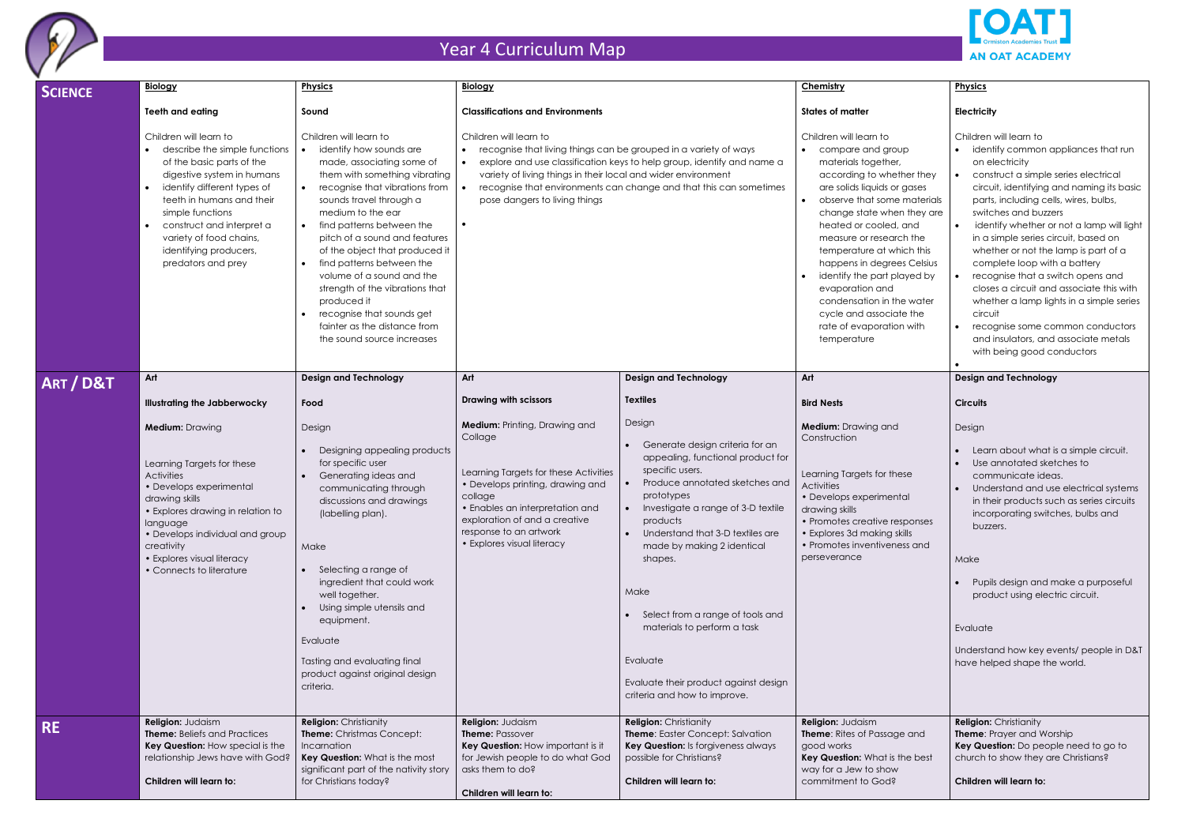

## **Physics**

### **Electricity**

| SCIENCE   | <b>Biology</b>                                                                                                                                                                                                                                                                                                                       | <b>Physics</b>                                                                                                                                                                                                                                                                                                                                                                                                                                                                                           | <b>Biology</b>                                                                                                                                                                                                                                                                                                                                                         |                                                                                                                                                                                                                                                                                                                                                                                                                                                                            | Chemistry                                                                                                                                                                                                                                                                                                                                                                                                                                                       |
|-----------|--------------------------------------------------------------------------------------------------------------------------------------------------------------------------------------------------------------------------------------------------------------------------------------------------------------------------------------|----------------------------------------------------------------------------------------------------------------------------------------------------------------------------------------------------------------------------------------------------------------------------------------------------------------------------------------------------------------------------------------------------------------------------------------------------------------------------------------------------------|------------------------------------------------------------------------------------------------------------------------------------------------------------------------------------------------------------------------------------------------------------------------------------------------------------------------------------------------------------------------|----------------------------------------------------------------------------------------------------------------------------------------------------------------------------------------------------------------------------------------------------------------------------------------------------------------------------------------------------------------------------------------------------------------------------------------------------------------------------|-----------------------------------------------------------------------------------------------------------------------------------------------------------------------------------------------------------------------------------------------------------------------------------------------------------------------------------------------------------------------------------------------------------------------------------------------------------------|
|           | Teeth and eating                                                                                                                                                                                                                                                                                                                     | Sound                                                                                                                                                                                                                                                                                                                                                                                                                                                                                                    | <b>Classifications and Environments</b>                                                                                                                                                                                                                                                                                                                                |                                                                                                                                                                                                                                                                                                                                                                                                                                                                            | <b>States of matter</b>                                                                                                                                                                                                                                                                                                                                                                                                                                         |
|           | Children will learn to<br>describe the simple functions<br>of the basic parts of the<br>digestive system in humans<br>identify different types of<br>$\bullet$<br>teeth in humans and their<br>simple functions<br>construct and interpret a<br>$\bullet$<br>variety of food chains,<br>identifying producers,<br>predators and prey | Children will learn to<br>identify how sounds are<br>made, associating some of<br>them with something vibrating<br>recognise that vibrations from<br>sounds travel through a<br>medium to the ear<br>find patterns between the<br>pitch of a sound and features<br>of the object that produced it<br>find patterns between the<br>volume of a sound and the<br>strength of the vibrations that<br>produced it<br>recognise that sounds get<br>fainter as the distance from<br>the sound source increases | Children will learn to<br>recognise that living things can be grouped in a variety of ways<br>explore and use classification keys to help group, identify and name a<br>variety of living things in their local and wider environment<br>recognise that environments can change and that this can sometimes<br>$\bullet$<br>pose dangers to living things<br>$\bullet$ |                                                                                                                                                                                                                                                                                                                                                                                                                                                                            | Children will learn to<br>compare and group<br>materials together,<br>according to whether they<br>are solids liquids or gases<br>observe that some materials<br>change state when they are<br>heated or cooled, and<br>measure or research the<br>temperature at which this<br>happens in degrees Celsius<br>identify the part played by<br>evaporation and<br>condensation in the water<br>cycle and associate the<br>rate of evaporation with<br>temperature |
| ART / D&T | Art                                                                                                                                                                                                                                                                                                                                  | <b>Design and Technology</b>                                                                                                                                                                                                                                                                                                                                                                                                                                                                             | Art                                                                                                                                                                                                                                                                                                                                                                    | <b>Design and Technology</b>                                                                                                                                                                                                                                                                                                                                                                                                                                               | Art                                                                                                                                                                                                                                                                                                                                                                                                                                                             |
|           | <b>Illustrating the Jabberwocky</b>                                                                                                                                                                                                                                                                                                  | Food                                                                                                                                                                                                                                                                                                                                                                                                                                                                                                     | <b>Drawing with scissors</b>                                                                                                                                                                                                                                                                                                                                           | <b>Textiles</b>                                                                                                                                                                                                                                                                                                                                                                                                                                                            | <b>Bird Nests</b>                                                                                                                                                                                                                                                                                                                                                                                                                                               |
|           | <b>Medium: Drawing</b><br>Learning Targets for these<br><b>Activities</b><br>• Develops experimental<br>drawing skills<br>• Explores drawing in relation to<br>language<br>• Develops individual and group<br>creativity<br>• Explores visual literacy<br>• Connects to literature                                                   | Design<br>Designing appealing products<br>for specific user<br>Generating ideas and<br>communicating through<br>discussions and drawings<br>(labelling plan).<br>Make<br>Selecting a range of<br>ingredient that could work<br>well together.<br>Using simple utensils and<br>equipment.<br>Evaluate<br>Tasting and evaluating final<br>product against original design<br>criteria.                                                                                                                     | <b>Medium:</b> Printing, Drawing and<br>Collage<br>Learning Targets for these Activities<br>• Develops printing, drawing and<br>collage<br>• Enables an interpretation and<br>exploration of and a creative<br>response to an artwork<br>• Explores visual literacy                                                                                                    | Design<br>Generate design criteria for an<br>$\bullet$<br>appealing, functional product for<br>specific users.<br>Produce annotated sketches and<br>$\bullet$<br>prototypes<br>Investigate a range of 3-D textile<br>products<br>Understand that 3-D textiles are<br>made by making 2 identical<br>shapes.<br>Make<br>Select from a range of tools and<br>materials to perform a task<br>Evaluate<br>Evaluate their product against design<br>criteria and how to improve. | <b>Medium:</b> Drawing and<br>Construction<br>Learning Targets for these<br><b>Activities</b><br>• Develops experimental<br>drawing skills<br>• Promotes creative responses<br>• Explores 3d making skills<br>• Promotes inventiveness and<br>perseverance                                                                                                                                                                                                      |
| <b>RE</b> | Religion: Judaism<br><b>Theme:</b> Beliefs and Practices<br>Key Question: How special is the<br>relationship Jews have with God?<br>Children will learn to:                                                                                                                                                                          | <b>Religion: Christianity</b><br>Theme: Christmas Concept:<br>Incarnation<br>Key Question: What is the most<br>significant part of the nativity story<br>for Christians today?                                                                                                                                                                                                                                                                                                                           | Religion: Judaism<br>Theme: Passover<br>Key Question: How important is it<br>for Jewish people to do what God<br>asks them to do?<br>Children will learn to:                                                                                                                                                                                                           | <b>Religion: Christianity</b><br>Theme: Easter Concept: Salvation<br>Key Question: Is forgiveness always<br>possible for Christians?<br>Children will learn to:                                                                                                                                                                                                                                                                                                            | Religion: Judaism<br><b>Theme:</b> Rites of Passage and<br>good works<br>Key Question: What is the best<br>way for a Jew to show<br>commitment to God?                                                                                                                                                                                                                                                                                                          |



| <b>JUD</b><br>r,<br>ther they<br>r gases<br>e materials<br>en they are<br>l, and<br>rch the<br>hich this<br>es Celsius<br>layed by<br>he water<br>ate the<br>on with | Children will learn to<br>identify common appliances that run<br>on electricity<br>construct a simple series electrical<br>circuit, identifying and naming its basic<br>parts, including cells, wires, bulbs,<br>switches and buzzers<br>identify whether or not a lamp will light<br>in a simple series circuit, based on<br>whether or not the lamp is part of a<br>complete loop with a battery<br>recognise that a switch opens and<br>closes a circuit and associate this with<br>whether a lamp lights in a simple series<br>circuit<br>recognise some common conductors<br>and insulators, and associate metals<br>with being good conductors |
|----------------------------------------------------------------------------------------------------------------------------------------------------------------------|------------------------------------------------------------------------------------------------------------------------------------------------------------------------------------------------------------------------------------------------------------------------------------------------------------------------------------------------------------------------------------------------------------------------------------------------------------------------------------------------------------------------------------------------------------------------------------------------------------------------------------------------------|
|                                                                                                                                                                      | <b>Design and Technology</b>                                                                                                                                                                                                                                                                                                                                                                                                                                                                                                                                                                                                                         |
|                                                                                                                                                                      | <b>Circuits</b>                                                                                                                                                                                                                                                                                                                                                                                                                                                                                                                                                                                                                                      |
| J                                                                                                                                                                    | Design                                                                                                                                                                                                                                                                                                                                                                                                                                                                                                                                                                                                                                               |
| iese<br>htal<br>esponses<br>skills<br>iess and                                                                                                                       | Learn about what is a simple circuit.<br>Use annotated sketches to<br>communicate ideas.<br>Understand and use electrical systems<br>in their products such as series circuits<br>incorporating switches, bulbs and<br>buzzers.<br>Make<br>Pupils design and make a purposeful<br>product using electric circuit.<br>Evaluate<br>Understand how key events/ people in D&T<br>have helped shape the world.<br><b>Religion: Christianity</b>                                                                                                                                                                                                           |
| ge and<br>the best                                                                                                                                                   | Theme: Prayer and Worship<br>Key Question: Do people need to go to<br>church to show they are Christians?                                                                                                                                                                                                                                                                                                                                                                                                                                                                                                                                            |
|                                                                                                                                                                      | Children will learn to:                                                                                                                                                                                                                                                                                                                                                                                                                                                                                                                                                                                                                              |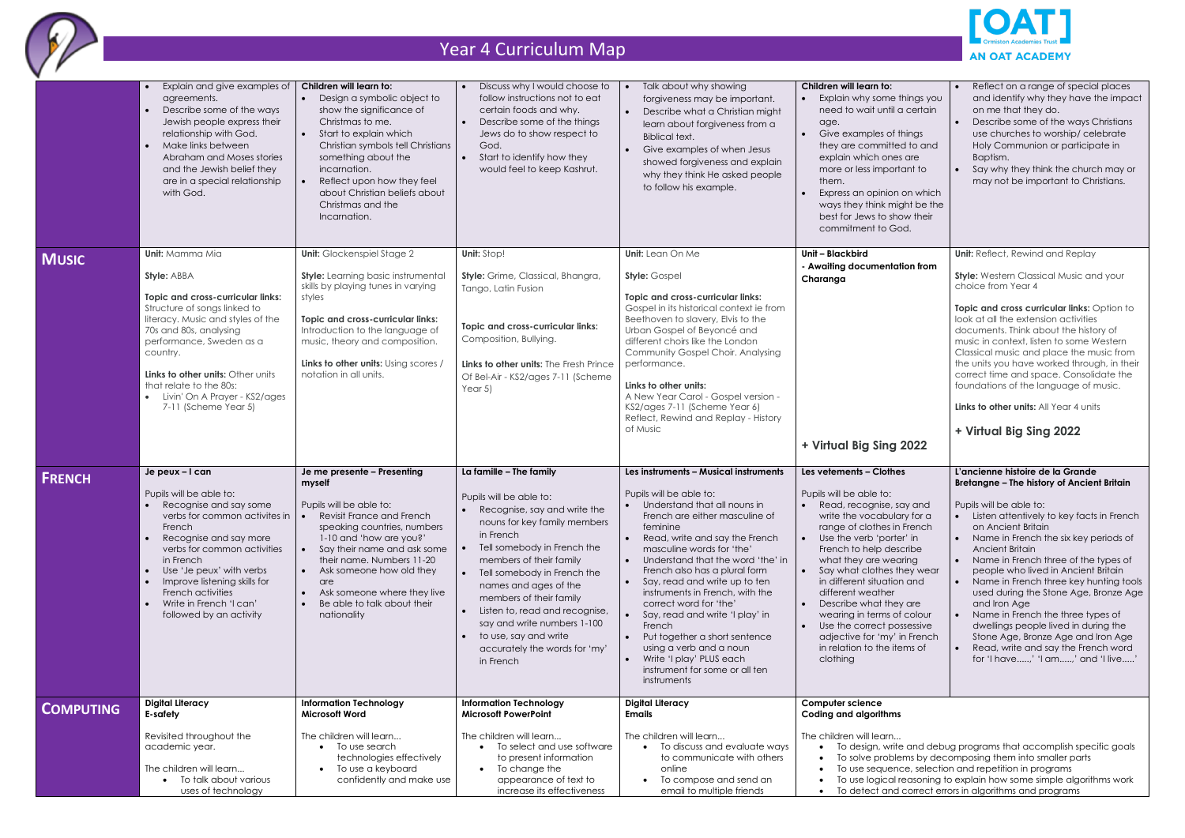

|                  | Explain and give examples of<br>agreements.<br>Describe some of the ways<br>Jewish people express their<br>relationship with God.<br>Make links between<br>$\bullet$<br>Abraham and Moses stories<br>and the Jewish belief they<br>are in a special relationship<br>with God.                                                                          | Children will learn to:<br>Design a symbolic object to<br>show the significance of<br>Christmas to me.<br>Start to explain which<br>Christian symbols tell Christians<br>something about the<br>incarnation.<br>Reflect upon how they feel<br>about Christian beliefs about<br>Christmas and the<br>Incarnation.                    | Discuss why I would choose to<br>follow instructions not to eat<br>certain foods and why.<br>Describe some of the things<br>Jews do to show respect to<br>God.<br>Start to identify how they<br>would feel to keep Kashrut.                                                                                                                                                                                          | Talk about why showing<br>forgiveness may be important.<br>Describe what a Christian might<br>learn about forgiveness from a<br><b>Biblical text.</b><br>Give examples of when Jesus<br>showed forgiveness and explain<br>why they think He asked people<br>to follow his example.                                                                                                                                                                                                                                                                                                   | Children will learn to:<br>Explain why some things you<br>need to wait until a certain<br>age.<br>Give examples of things<br>they are committed to and<br>explain which ones are<br>more or less important to<br>them.<br>Express an opinion on which<br>ways they think might be the<br>best for Jews to show their<br>commitment to God.                                                                                                                                   | Reflect on a range of special places<br>and identify why they have the impact<br>on me that they do.<br>Describe some of the ways Christians<br>use churches to worship/ celebrate<br>Holy Communion or participate in<br>Baptism.<br>Say why they think the church may or<br>may not be important to Christians.                                                                                                                                                                                                                                                                                                                 |
|------------------|--------------------------------------------------------------------------------------------------------------------------------------------------------------------------------------------------------------------------------------------------------------------------------------------------------------------------------------------------------|-------------------------------------------------------------------------------------------------------------------------------------------------------------------------------------------------------------------------------------------------------------------------------------------------------------------------------------|----------------------------------------------------------------------------------------------------------------------------------------------------------------------------------------------------------------------------------------------------------------------------------------------------------------------------------------------------------------------------------------------------------------------|--------------------------------------------------------------------------------------------------------------------------------------------------------------------------------------------------------------------------------------------------------------------------------------------------------------------------------------------------------------------------------------------------------------------------------------------------------------------------------------------------------------------------------------------------------------------------------------|------------------------------------------------------------------------------------------------------------------------------------------------------------------------------------------------------------------------------------------------------------------------------------------------------------------------------------------------------------------------------------------------------------------------------------------------------------------------------|-----------------------------------------------------------------------------------------------------------------------------------------------------------------------------------------------------------------------------------------------------------------------------------------------------------------------------------------------------------------------------------------------------------------------------------------------------------------------------------------------------------------------------------------------------------------------------------------------------------------------------------|
| <b>MUSIC</b>     | <b>Unit:</b> Mamma Mia<br>Style: ABBA<br>Topic and cross-curricular links:<br>Structure of songs linked to<br>literacy. Music and styles of the<br>70s and 80s, analysing<br>performance, Sweden as a<br>country.<br>Links to other units: Other units<br>that relate to the 80s:<br>Livin' On A Prayer - KS2/ages<br>7-11 (Scheme Year 5)             | <b>Unit:</b> Glockenspiel Stage 2<br><b>Style:</b> Learning basic instrumental<br>skills by playing tunes in varying<br>styles<br>Topic and cross-curricular links:<br>Introduction to the language of<br>music, theory and composition.<br>Links to other units: Using scores /<br>notation in all units.                          | Unit: Stop!<br>Style: Grime, Classical, Bhangra,<br>Tango, Latin Fusion<br><b>Topic and cross-curricular links:</b><br>Composition, Bullying.<br>Links to other units: The Fresh Prince<br>Of Bel-Air - KS2/ages 7-11 (Scheme<br>Year $5$ )                                                                                                                                                                          | Unit: Lean On Me<br><b>Style: Gospel</b><br><b>Topic and cross-curricular links:</b><br>Gospel in its historical context ie from<br>Beethoven to slavery, Elvis to the<br>Urban Gospel of Beyoncé and<br>different choirs like the London<br>Community Gospel Choir. Analysing<br>performance.<br>Links to other units:<br>A New Year Carol - Gospel version -<br>KS2/ages 7-11 (Scheme Year 6)<br>Reflect, Rewind and Replay - History<br>of Music                                                                                                                                  | Unit - Blackbird<br>- Awaiting documentation from<br>Charanga<br>+ Virtual Big Sing 2022                                                                                                                                                                                                                                                                                                                                                                                     | <b>Unit:</b> Reflect, Rewind and Replay<br><b>Style:</b> Western Classical Music and your<br>choice from Year 4<br>Topic and cross curricular links: Option to<br>look at all the extension activities<br>documents. Think about the history of<br>music in context, listen to some Western<br>Classical music and place the music from<br>the units you have worked through, in their<br>correct time and space. Consolidate the<br>foundations of the language of music.<br>Links to other units: All Year 4 units<br>+ Virtual Big Sing 2022                                                                                   |
| <b>FRENCH</b>    | Je peux - I can<br>Pupils will be able to:<br>Recognise and say some<br>verbs for common activites in<br>French<br>Recognise and say more<br>verbs for common activities<br>in French<br>Use 'Je peux' with verbs<br>$\bullet$<br>Improve listening skills for<br>French activities<br>Write in French 'I can'<br>$\bullet$<br>followed by an activity | Je me presente - Presenting<br>myself<br>Pupils will be able to:<br>Revisit France and French<br>speaking countries, numbers<br>1-10 and 'how are you?'<br>Say their name and ask some<br>their name. Numbers 11-20<br>Ask someone how old they<br>are<br>Ask someone where they live<br>Be able to talk about their<br>nationality | La famille - The family<br>Pupils will be able to:<br>Recognise, say and write the<br>nouns for key family members<br>in French<br>Tell somebody in French the<br>members of their family<br>Tell somebody in French the<br>names and ages of the<br>members of their family<br>Listen to, read and recognise,<br>say and write numbers 1-100<br>to use, say and write<br>accurately the words for 'my'<br>in French | Les instruments - Musical instruments<br>Pupils will be able to:<br>Understand that all nouns in<br>$\bullet$<br>French are either masculine of<br>feminine<br>Read, write and say the French<br>masculine words for 'the'<br>Understand that the word 'the' in<br>French also has a plural form<br>Say, read and write up to ten<br>instruments in French, with the<br>correct word for 'the'<br>Say, read and write 'I play' in<br>French<br>Put together a short sentence<br>using a verb and a noun<br>Write 'I play' PLUS each<br>instrument for some or all ten<br>instruments | Les vetements - Clothes<br>Pupils will be able to:<br>Read, recognise, say and<br>write the vocabulary for a<br>range of clothes in French<br>Use the verb 'porter' in<br>French to help describe<br>what they are wearing<br>Say what clothes they wear<br>in different situation and<br>different weather<br>Describe what they are<br>wearing in terms of colour<br>Use the correct possessive<br>adjective for 'my' in French<br>in relation to the items of<br>clothing | L'ancienne histoire de la Grande<br>Bretangne - The history of Ancient Britain<br>Pupils will be able to:<br>Listen attentively to key facts in French<br>on Ancient Britain<br>Name in French the six key periods of<br><b>Ancient Britain</b><br>Name in French three of the types of<br>people who lived in Ancient Britain<br>Name in French three key hunting tools<br>used during the Stone Age, Bronze Age<br>and Iron Age<br>Name in French the three types of<br>dwellings people lived in during the<br>Stone Age, Bronze Age and Iron Age<br>Read, write and say the French word<br>for 'I have,' 'I am,' and 'I live' |
| <b>COMPUTING</b> | <b>Digital Literacy</b><br>E-safety<br>Revisited throughout the<br>academic year.<br>The children will learn<br>To talk about various<br>uses of technology                                                                                                                                                                                            | <b>Information Technology</b><br><b>Microsoft Word</b><br>The children will learn<br>To use search<br>technologies effectively<br>To use a keyboard<br>confidently and make use                                                                                                                                                     | <b>Information Technology</b><br><b>Microsoft PowerPoint</b><br>The children will learn<br>To select and use software<br>to present information<br>To change the<br>appearance of text to<br>increase its effectiveness                                                                                                                                                                                              | <b>Digital Literacy</b><br><b>Emails</b><br>The children will learn<br>To discuss and evaluate ways<br>to communicate with others<br>online<br>To compose and send an<br>email to multiple friends                                                                                                                                                                                                                                                                                                                                                                                   | <b>Computer science</b><br><b>Coding and algorithms</b><br>The children will learn                                                                                                                                                                                                                                                                                                                                                                                           | To design, write and debug programs that accomplish specific goals<br>To solve problems by decomposing them into smaller parts<br>To use sequence, selection and repetition in programs<br>To use logical reasoning to explain how some simple algorithms work<br>To detect and correct errors in algorithms and programs                                                                                                                                                                                                                                                                                                         |

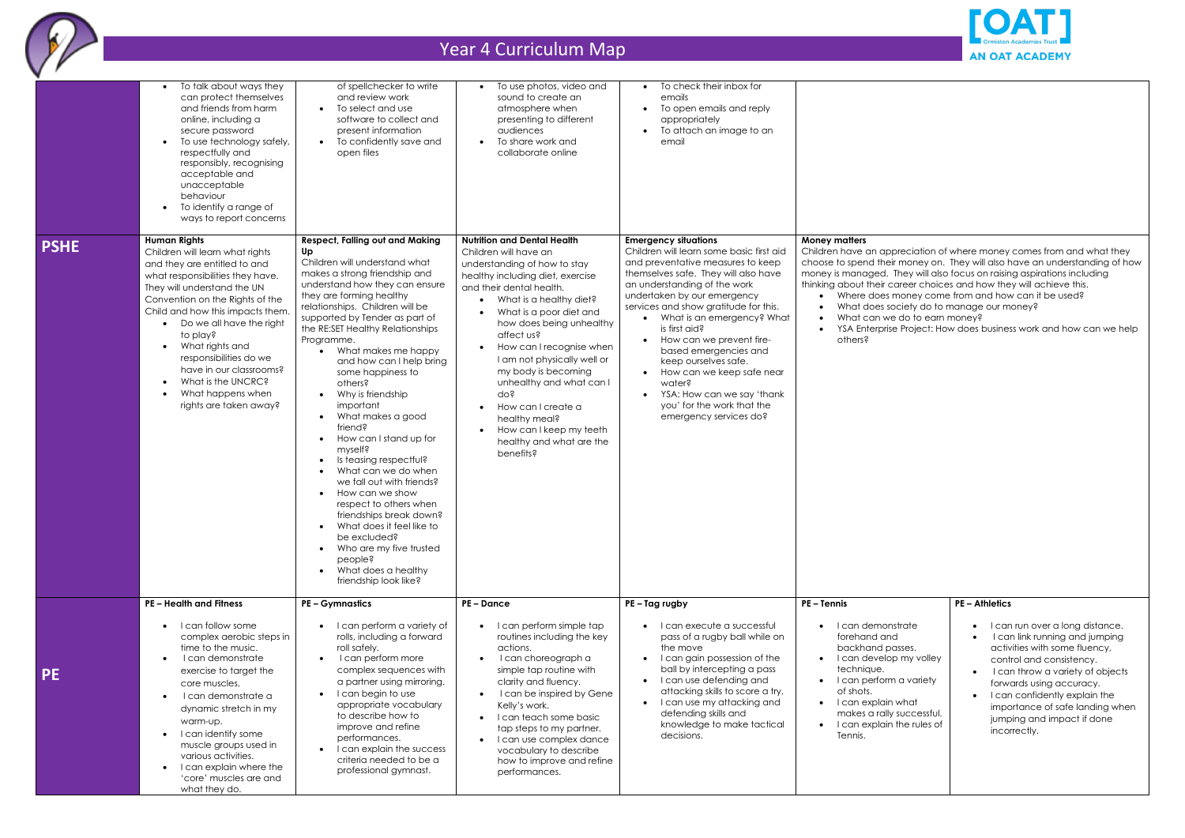

|             | To talk about ways they<br>can protect themselves<br>and friends from harm<br>online, including a<br>secure password<br>To use technology safely,<br>$\bullet$<br>respectfully and<br>responsibly, recognising<br>acceptable and<br>unacceptable<br>behaviour<br>To identify a range of<br>$\bullet$<br>ways to report concerns                                                                                                                              | of spellchecker to write<br>and review work<br>• To select and use<br>software to collect and<br>present information<br>• To confidently save and<br>open files                                                                                                                                                                                                                                                                                                                                                                                                                                                                                                                                                                                                                                           | To use photos, video and<br>sound to create an<br>atmosphere when<br>presenting to different<br>audiences<br>To share work and<br>collaborate online                                                                                                                                                                                                                                                                                                                                          | • To check their inbox for<br>emails<br>To open emails and reply<br>appropriately<br>• To attach an image to an<br>email                                                                                                                                                                                                                                                                                                                                                                                                    |                                                                                                                                                                                                                                                                                                                                                                                                                                                                                                                                                     |                                                                                                                                                                                                                                                                                                                  |
|-------------|--------------------------------------------------------------------------------------------------------------------------------------------------------------------------------------------------------------------------------------------------------------------------------------------------------------------------------------------------------------------------------------------------------------------------------------------------------------|-----------------------------------------------------------------------------------------------------------------------------------------------------------------------------------------------------------------------------------------------------------------------------------------------------------------------------------------------------------------------------------------------------------------------------------------------------------------------------------------------------------------------------------------------------------------------------------------------------------------------------------------------------------------------------------------------------------------------------------------------------------------------------------------------------------|-----------------------------------------------------------------------------------------------------------------------------------------------------------------------------------------------------------------------------------------------------------------------------------------------------------------------------------------------------------------------------------------------------------------------------------------------------------------------------------------------|-----------------------------------------------------------------------------------------------------------------------------------------------------------------------------------------------------------------------------------------------------------------------------------------------------------------------------------------------------------------------------------------------------------------------------------------------------------------------------------------------------------------------------|-----------------------------------------------------------------------------------------------------------------------------------------------------------------------------------------------------------------------------------------------------------------------------------------------------------------------------------------------------------------------------------------------------------------------------------------------------------------------------------------------------------------------------------------------------|------------------------------------------------------------------------------------------------------------------------------------------------------------------------------------------------------------------------------------------------------------------------------------------------------------------|
| <b>PSHE</b> | <b>Human Rights</b><br>Children will learn what rights<br>and they are entitled to and<br>what responsibilities they have.<br>They will understand the UN<br>Convention on the Rights of the<br>Child and how this impacts them.<br>Do we all have the right<br>$\bullet$<br>to play?<br>What rights and<br>$\bullet$<br>responsibilities do we<br>have in our classrooms?<br>What is the UNCRC?<br>$\bullet$<br>What happens when<br>rights are taken away? | <b>Respect, Falling out and Making</b><br>Up<br>Children will understand what<br>makes a strong friendship and<br>understand how they can ensure<br>they are forming healthy<br>relationships. Children will be<br>supported by Tender as part of<br>the RE:SET Healthy Relationships<br>Programme.<br>What makes me happy<br>and how can I help bring<br>some happiness to<br>others?<br>• Why is friendship<br>important<br>• What makes a good<br>friend?<br>How can I stand up for<br>myself?<br>Is teasing respectful?<br>What can we do when<br>we fall out with friends?<br>How can we show<br>$\bullet$<br>respect to others when<br>friendships break down?<br>What does it feel like to<br>be excluded?<br>• Who are my five trusted<br>people?<br>What does a healthy<br>friendship look like? | <b>Nutrition and Dental Health</b><br>Children will have an<br>understanding of how to stay<br>healthy including diet, exercise<br>and their dental health.<br>• What is a healthy diet?<br>What is a poor diet and<br>how does being unhealthy<br>affect us?<br>How can I recognise when<br>I am not physically well or<br>my body is becoming<br>unhealthy and what can I<br>do?<br>How can I create a<br>healthy meal?<br>How can I keep my teeth<br>healthy and what are the<br>benefits? | <b>Emergency situations</b><br>Children will learn some basic first aid<br>and preventative measures to keep<br>themselves safe. They will also have<br>an understanding of the work<br>undertaken by our emergency<br>services and show gratitude for this.<br>• What is an emergency? What<br>is first aid?<br>• How can we prevent fire-<br>based emergencies and<br>keep ourselves safe.<br>How can we keep safe near<br>water?<br>• YSA: How can we say 'thank<br>you' for the work that the<br>emergency services do? | <b>Money matters</b><br>Children have an appreciation of where money comes from and what they<br>choose to spend their money on. They will also have an understanding of how<br>money is managed. They will also focus on raising aspirations including<br>thinking about their career choices and how they will achieve this.<br>Where does money come from and how can it be used?<br>What does society do to manage our money?<br>What can we do to earn money?<br>YSA Enterprise Project: How does business work and how can we help<br>others? |                                                                                                                                                                                                                                                                                                                  |
|             | <b>PE-Health and Fitness</b>                                                                                                                                                                                                                                                                                                                                                                                                                                 | <b>PE-Gymnastics</b>                                                                                                                                                                                                                                                                                                                                                                                                                                                                                                                                                                                                                                                                                                                                                                                      | <b>PE-Dance</b>                                                                                                                                                                                                                                                                                                                                                                                                                                                                               | PE-Tag rugby                                                                                                                                                                                                                                                                                                                                                                                                                                                                                                                | <b>PE-Tennis</b>                                                                                                                                                                                                                                                                                                                                                                                                                                                                                                                                    | <b>PE-Athletics</b>                                                                                                                                                                                                                                                                                              |
| <b>PE</b>   | I can follow some<br>$\bullet$<br>complex aerobic steps in<br>time to the music.<br>I can demonstrate<br>$\bullet$<br>exercise to target the<br>core muscles.<br>I can demonstrate a<br>dynamic stretch in my<br>warm-up.<br>• I can identify some<br>muscle groups used in<br>various activities.<br>I can explain where the<br>'core' muscles are and<br>what they do.                                                                                     | • I can perform a variety of<br>rolls, including a forward<br>roll safely.<br>I can perform more<br>complex sequences with<br>a partner using mirroring.<br>I can begin to use<br>appropriate vocabulary<br>to describe how to<br>improve and refine<br>performances.<br>I can explain the success<br>criteria needed to be a<br>professional gymnast.                                                                                                                                                                                                                                                                                                                                                                                                                                                    | • I can perform simple tap<br>routines including the key<br>actions.<br>I can choreograph a<br>simple tap routine with<br>clarity and fluency.<br>I can be inspired by Gene<br>Kelly's work.<br>• I can teach some basic<br>tap steps to my partner.<br>• I can use complex dance<br>vocabulary to describe<br>how to improve and refine<br>performances.                                                                                                                                     | $\bullet$   can execute a successful<br>pass of a rugby ball while on<br>the move<br>• I can gain possession of the<br>ball by intercepting a pass<br>• I can use defending and<br>attacking skills to score a try.<br>• I can use my attacking and<br>defending skills and<br>knowledge to make tactical<br>decisions.                                                                                                                                                                                                     | • I can demonstrate<br>forehand and<br>backhand passes.<br>• I can develop my volley<br>technique.<br>• I can perform a variety<br>of shots.<br>• I can explain what<br>makes a rally successful.<br>• I can explain the rules of<br>Tennis.                                                                                                                                                                                                                                                                                                        | I can run over a long distance.<br>I can link running and jumping<br>activities with some fluency,<br>control and consistency.<br>I can throw a variety of objects<br>forwards using accuracy.<br>I can confidently explain the<br>importance of safe landing when<br>jumping and impact if done<br>incorrectly. |



- 
- 
-